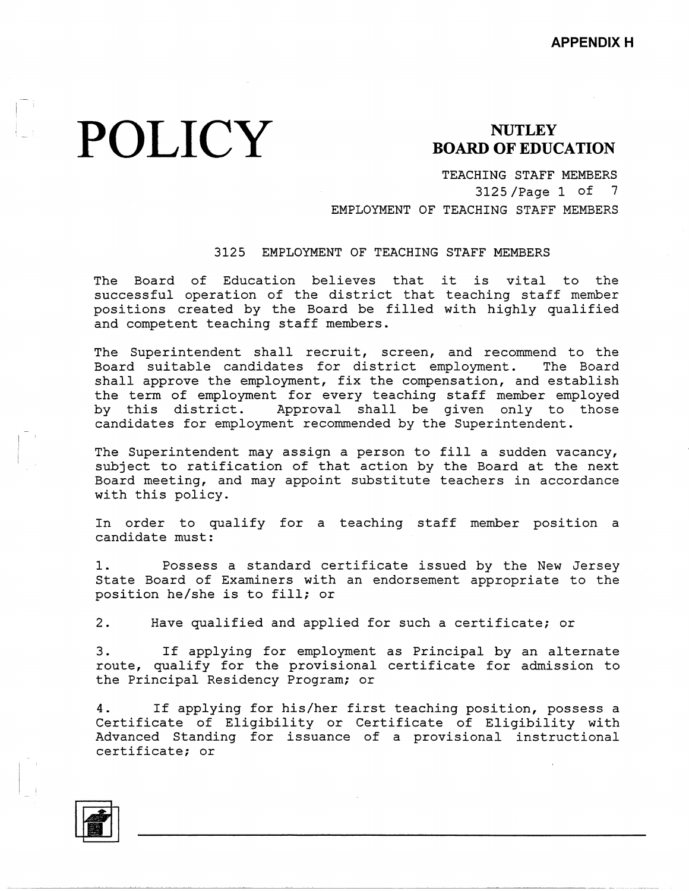## POLICY BOARD OF EDUCATION

TEACHING STAFF MEMBERS 3125 /Page 1 of 7 EMPLOYMENT OF TEACHING STAFF MEMBERS

### 3125 EMPLOYMENT OF TEACHING STAFF MEMBERS

The Board of Education believes that it is vital to the successful operation of the district that teaching staff member positions created by the Board be filled with highly qualifi and competent teaching staff members.

The Superintendent shall recruit, screen, and recommend to the Board suitable candidates for district employment. The Board shall approve the employment, fix the compensation, and establish the term of employment for every teaching staff member employed by this district. Approval shall be given only to those candidates for employment recommended by the Superintendent.

The Superintendent may assign a person to fill a sudden vacancy, subject to ratification of that action by the Board at the next Board meeting, and may appoint substitute teachers in accordance with this policy.

In order to qualify for a teaching staff member position a candidate must:

1. Possess a standard certificate issued by the New Jersey State Board of Examiners with an endorsement appropriate to the position he/she is to fill; or

2. Have qualified and applied for such a certificate; or

If applying for employment as Principal by an alternate route, qualify for the provisional certificate for admission to the Principal Residency Program; or

4. If applying for his/her first teaching position, possess a Certificate of Eligibility or Certificate of Eligibility with Advanced Standing for issuance of a provisional instructional certificate; or

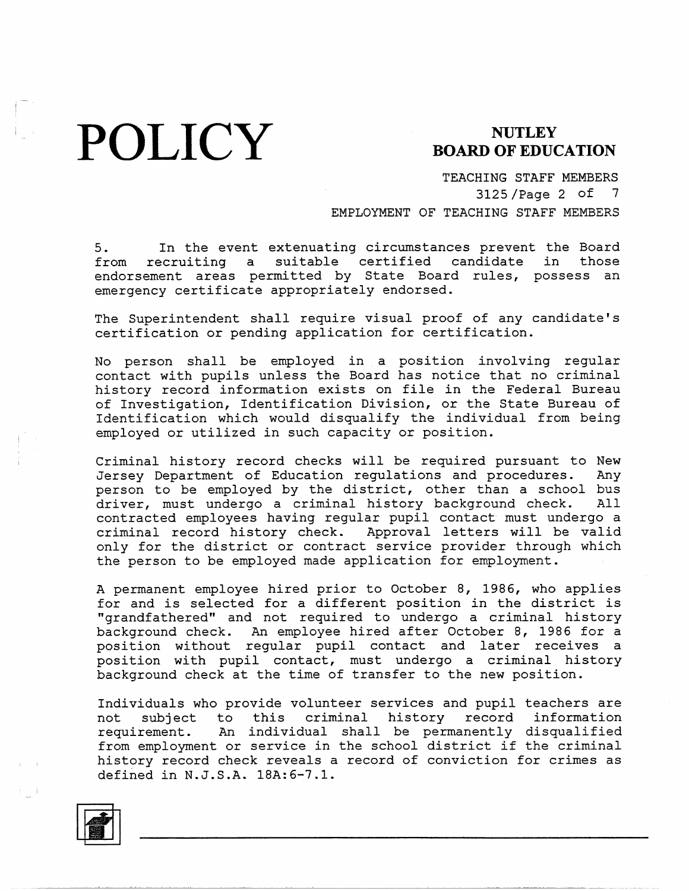**POLICY** BOARD OF EDUC

## **BOARD OF EDUCATION**

TEACHING STAFF MEMBERS 3125 /Page 2 of 7 EMPLOYMENT OF TEACHING STAFF MEMBERS

5. In the event extenuating circumstances prevent the Board from recruiting a suitable certified candidate in those endorsement areas permitted by State Board rules, possess an emergency certificate appropriately endorsed.

The Superintendent shall require visual proof of any candidate's certification or pending application for certification.

No person shall be employed in a position involving regular contact with pupils unless the Board has notice that no criminal history record information exists on file in the Federal Bureau of Investigation, Identification Division, or the State Bureau of Identification which would disqualify the individual from being employed or utilized in such capacity or position.

Criminal history record checks will be required pursuant to New Jersey Department of Education regulations and procedures. Any person to be employed by the district, other than a school bus driver, must undergo a criminal history background check. All contracted employees having regular pupil contact must undergo a criminal record history check. Approval letters will be valid only for the district or contract service provider through which the person to be employed made application for employment.

A permanent employee hired prior to October 8, 1986, who applies for and is selected for a different position in the district is "grandfathered" and not required to undergo a criminal history background check. An employee hired after October 8, 1986 for a position without regular pupil contact and later receives a position with pupil contact, must undergo a criminal history background check at the time of transfer to the new position.

Individuals who provide volunteer services and pupil teachers are not subject to this criminal history record information requirement. An individual shall be permanently disqualified from employment or service in the school district if the criminal history record check reveals a record of conviction for crimes as defined in N.J.S.A. 18A:6-7.l.

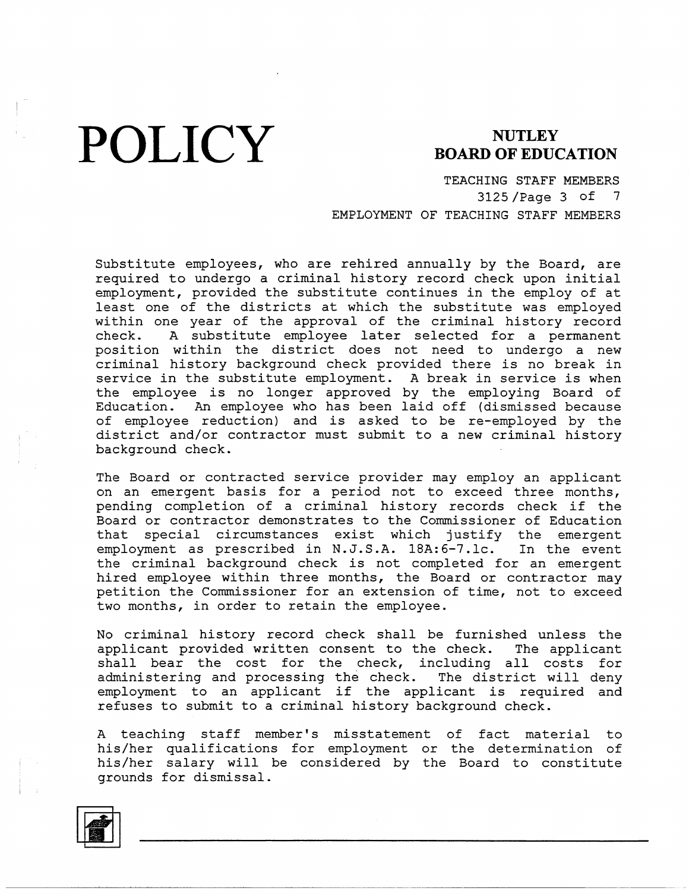POLICY BOARD OF EDUC

## **BOARD OF EDUCATION**

TEACHING STAFF MEMBERS 3125 /Page 3 of 7 EMPLOYMENT OF TEACHING STAFF MEMBERS

Substitute employees, who are rehired annually by the Board, are required to undergo a criminal history record check upon initial employment, provided the substitute continues in the employ of at least one of the districts at which the substitute was employed within one year of the approval of the criminal history record check. A substitute employee later selected for a permanent position within the district does not need to undergo a new criminal history background check provided there is no break in service in the substitute employment. A break in service is when the employee is no longer approved by the employing Board of Education. An employee who has been laid off (dismissed because of employee reduction) and is asked to be re-employed by the district and/or contractor must submit to a new criminal histo background check.

The Board or contracted service provider may employ an applicant on an emergent basis for a period not to exceed three months, pending completion of a criminal history records check if the Board or contractor demonstrates to the Commissioner of Education that special circumstances exist which justify the emergent employment as prescribed in N.J.S.A. lBA:6-7.lc. In the event the criminal background check is not completed for an emergent hired employee within three months, the Board or contractor may petition the Commissioner for an extension of time, not to exceed two months, in order to retain the employee.

No criminal history record check shall be furnished unless the applicant provided written consent to the check. The applicant shall bear the cost for the check, including all costs for administering and processing the check. The district will deny employment to an applicant if the applicant is required and refuses to submit to a criminal history background check.

A teaching staff member's misstatement of fact material to his/her qualifications for employment or the determination of his/her salary will be considered by the Board to constitute grounds for dismissal.

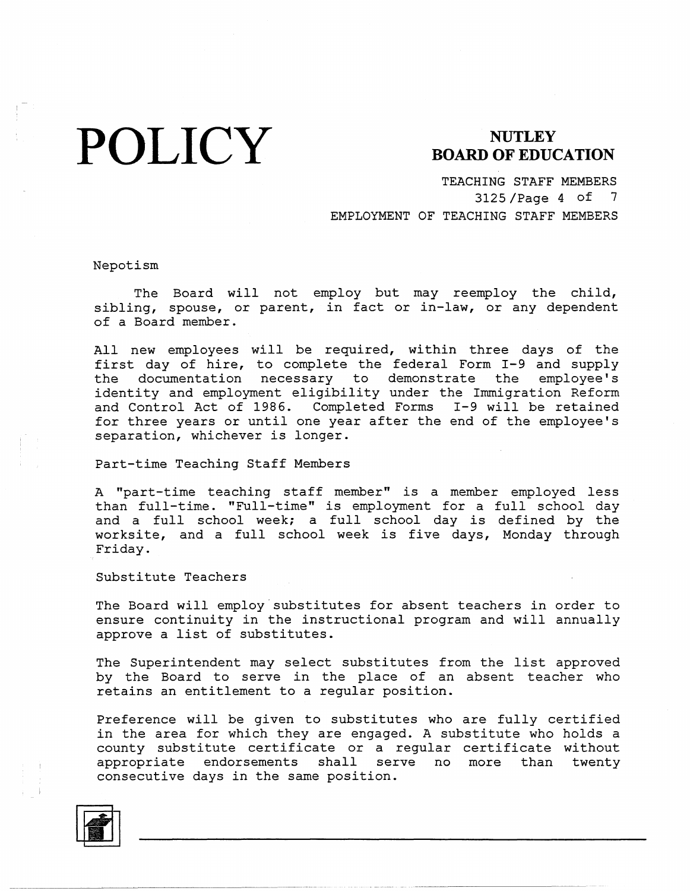# **POLICY**

### **NUTLEY BOARD OF EDUCATION**

TEACHING STAFF MEMBERS 3125 /Page 4 of 7 EMPLOYMENT OF TEACHING STAFF MEMBERS

Nepotism

The Board will not employ but may reemploy the child, sibling, spouse, or parent, in fact or in-law, or any dependent of a Board member.

All new employees will be required, within three days of the first day of hire, to complete the federal Form I-9 and supply the documentation necessary to demonstrate the employee's identity and employment eligibility under the Immigration Reform and Control Act of 1986. Completed Forms I-9 will be retained for three years or until one year after the end of the employee's separation, whichever is longer.

Part-time Teaching Staff Members

A "part-time teaching staff member" is a member employed less than full-time. "Full-time" is employment for a full school day and a full school week; a full school day is defined by the worksite, and a full school week is five days, Monday through Friday.

Substitute Teachers

The Board will employ substitutes for absent teachers in order to ensure continuity in the instructional program and will annually approve a list of substitutes.

The Superintendent may select substitutes from the list approved by the Board to serve in the place of an absent teacher who retains an entitlement to a regular position.

Preference will be given to substitutes who are fully certified in the area for which they are engaged. A substitute who holds a county substitute certificate or a regular certificate without appropriate endorsements shall serve no more than twenty consecutive days in the same position.



-------- -----~--- ---- ----------~~---.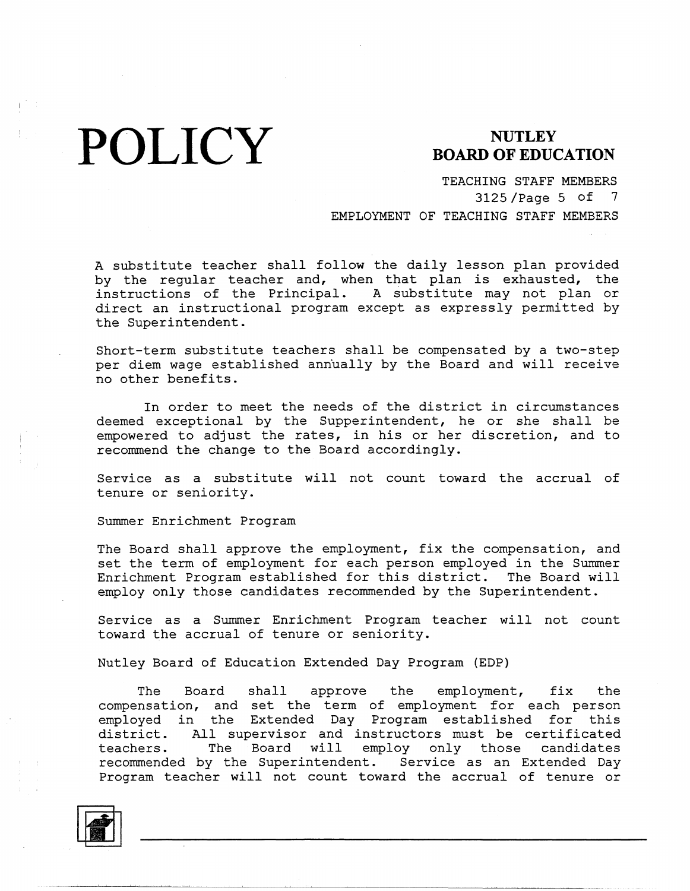**POLICY** BOARD OF EDUC

## **BOARD OF EDUCATION**

TEACHING STAFF MEMBERS 3125 /Page 5 of 7 EMPLOYMENT OF TEACHING STAFF MEMBERS

A substitute teacher shall follow the daily lesson plan provided by the regular teacher and, when that plan is exhausted, the instructions of the Principal. A substitute may not plan or direct an instructional program except as expressly permitted by the Superintendent.

Short-term substitute teachers shall be compensated by a two-step per diem wage established annually by the Board and will receive no other benefits.

In order to meet the needs of the district in circumstances deemed exceptional by the Supperintendent, he or she shall be empowered to adjust the rates, in his or her discretion, and to recommend the change to the Board accordingly.

Service as a substitute will not count toward the accrual of tenure or seniority.

Summer Enrichment Program

The Board shall approve the employment, fix the compensation, and set the term of employment for each person employed in the Summer Enrichment Program established for this district. The Board will employ only those candidates recommended by the Superintendent.

Service as a Summer Enrichment Program teacher will not count toward the accrual of tenure or seniority.

Nutley Board of Education Extended Day Program (EDP)

The Board shall approve the employment, fix the compensation, and set the term of employment for each perso employed in the Extended Day Program established for thi district. All supervisor and instructors must be certificated teachers. The Board will employ only those candidates recommended by the Superintendent. Service as an Extended Day Program teacher will not count toward the accrual of tenure or

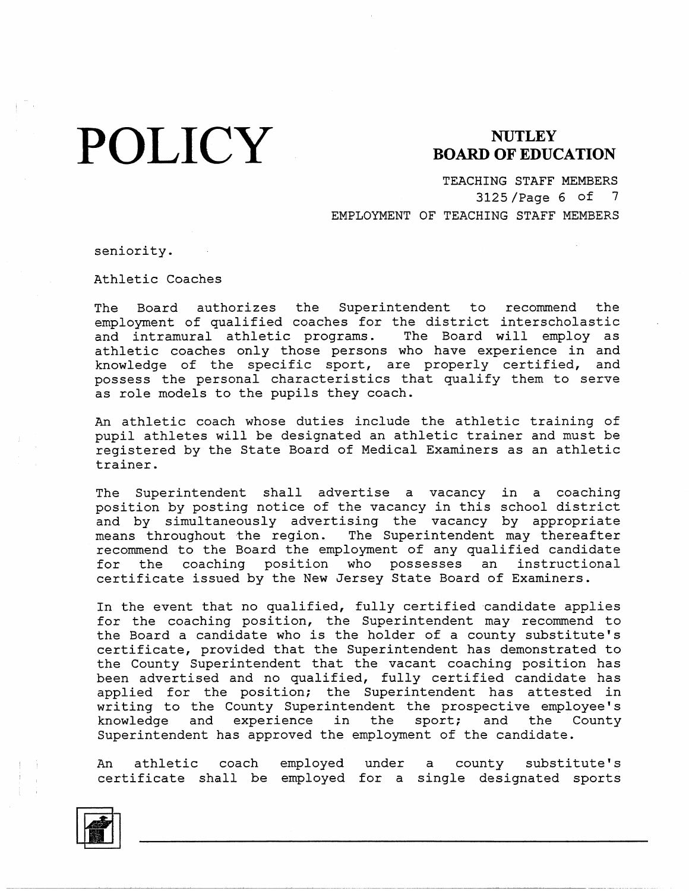# **POLICY**

### **NUTLEY BOARD OF EDUCATION**

TEACHING STAFF MEMBERS 3125 /Page 6 of 7 EMPLOYMENT OF TEACHING STAFF MEMBERS

seniority.

Athletic Coaches

The Board authorizes the Superintendent to recommend the employment of qualified coaches for the district interscholastic and intramural athletic programs. The Board will employ as athletic coaches only those persons who have experience in and knowledge of the specific sport, are properly certified, and possess the personal characteristics that qualify them to serve as role models to the pupils they coach.

An athletic coach whose duties include the athletic training of pupil athletes will be designated an athletic trainer and must be registered by the State Board of Medical Examiners as an athletic trainer.

The Superintendent shall advertise a vacancy in a coaching position by posting notice of the vacancy in this school district and by simultaneously advertising the vacancy by appropri $\cdot$ means throughout the region. The Superintendent may thereaf recommend to the Board the employment of any qualified candidate for the coaching position who possesses an instructional certificate issued by the New Jersey State Board of Examiners.

In the event that no qualified, fully certified candidate applies for the coaching position, the Superintendent may recommend to the Board a candidate who is the holder of a county substitute's certificate, provided that the Superintendent has demonstrated to the County Superintendent that the vacant coaching position has been advertised and no qualified, fully certified candidate has applied for the position; the Superintendent has attested in writing to the County Superintendent the prospective employee's knowledge and experience in the sport; and the County Superintendent has approved the employment of the candidate.

An athletic coach certificate shall be employed for a single designated sport employed under a county substitute's